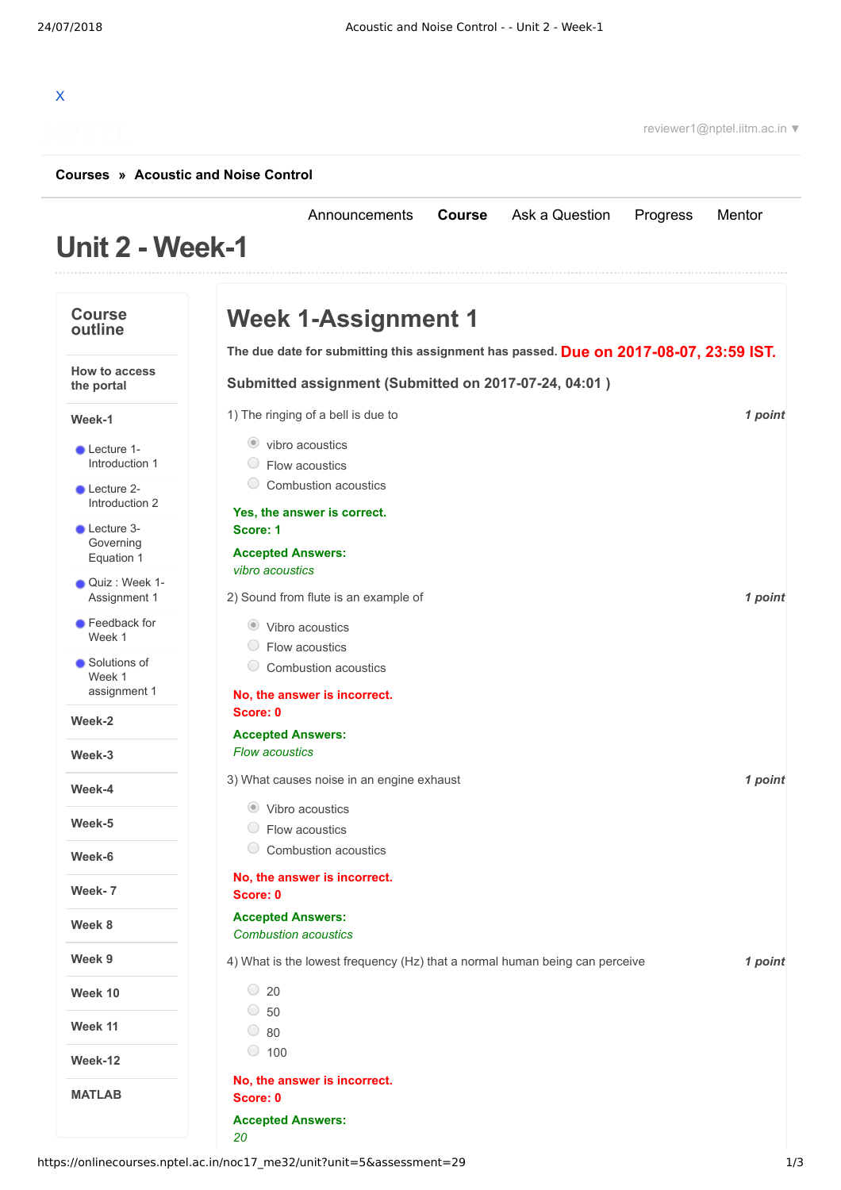[Announcements](https://onlinecourses.nptel.ac.in/noc17_me32/announcements) **[Course](https://onlinecourses.nptel.ac.in/noc17_me32/course)** [Ask a Question](https://onlinecourses.nptel.ac.in/noc17_me32/forum) [Progress](https://onlinecourses.nptel.ac.in/noc17_me32/student/home) [Mentor](https://onlinecourses.nptel.ac.in/noc17_me32/student/mentor)

# X

reviewer1@nptel.iitm.ac.in ▼

#### **[Courses](https://onlinecourses.nptel.ac.in/) » [Acoustic and Noise Control](https://onlinecourses.nptel.ac.in/noc17_me32/course)**

## **Unit 2 - Week-1**

| <b>Course</b><br>outline               | <b>Week 1-Assignment 1</b>                                                            |         |
|----------------------------------------|---------------------------------------------------------------------------------------|---------|
|                                        | The due date for submitting this assignment has passed. Due on 2017-08-07, 23:59 IST. |         |
| <b>How to access</b><br>the portal     | Submitted assignment (Submitted on 2017-07-24, 04:01)                                 |         |
| Week-1                                 | 1) The ringing of a bell is due to                                                    | 1 point |
| • Lecture 1-<br>Introduction 1         | vibro acoustics<br>$\circ$ Flow acoustics<br>0<br>Combustion acoustics                |         |
| Lecture 2-<br>Introduction 2           | Yes, the answer is correct.                                                           |         |
| Lecture 3-<br>Governing<br>Equation 1  | Score: 1<br><b>Accepted Answers:</b><br>vibro acoustics                               |         |
| Quiz : Week 1-<br>Assignment 1         | 2) Sound from flute is an example of                                                  | 1 point |
| Feedback for<br>Week 1                 | ● Vibro acoustics<br>$\bigcirc$<br>Flow acoustics                                     |         |
| Solutions of<br>Week 1<br>assignment 1 | $\bigcirc$<br>Combustion acoustics                                                    |         |
| Week-2                                 | No, the answer is incorrect.<br>Score: 0                                              |         |
|                                        | <b>Accepted Answers:</b>                                                              |         |
| Week-3                                 | <b>Flow acoustics</b>                                                                 |         |
| Week-4                                 | 3) What causes noise in an engine exhaust                                             | 1 point |
| Week-5                                 | Vibro acoustics<br>$\bigcirc$<br>Flow acoustics                                       |         |
| Week-6                                 | O<br>Combustion acoustics                                                             |         |
| Week- 7                                | No, the answer is incorrect.<br>Score: 0                                              |         |
| Week 8                                 | <b>Accepted Answers:</b><br><b>Combustion acoustics</b>                               |         |
| Week 9                                 | 4) What is the lowest frequency (Hz) that a normal human being can perceive           | 1 point |
| Week 10                                | $\degree$ 20                                                                          |         |
| Week 11                                | $\circ$ 50<br>$\circ$ 80                                                              |         |
| Week-12                                | $\circ$ 100                                                                           |         |
| <b>MATLAB</b>                          | No, the answer is incorrect.<br>Score: 0                                              |         |
|                                        | <b>Accepted Answers:</b><br>20                                                        |         |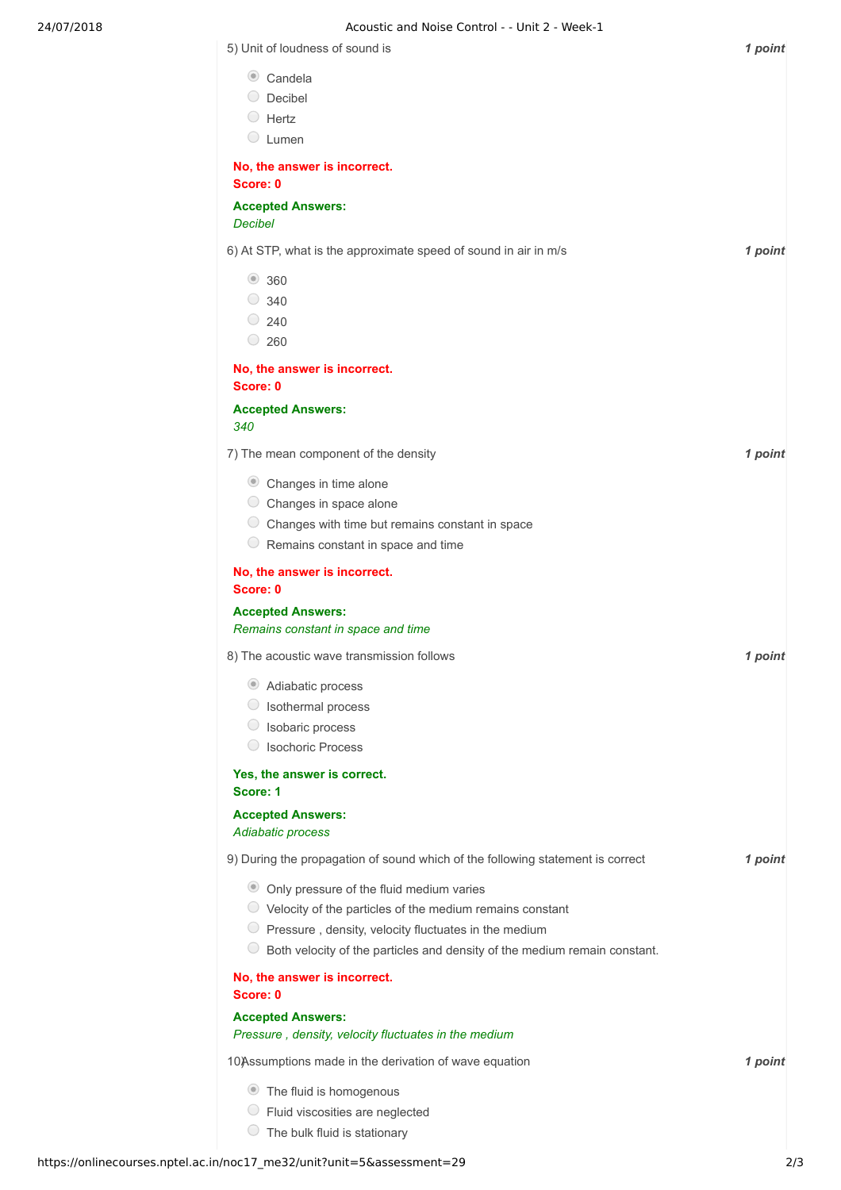### 24/07/2018 Acoustic and Noise Control - - Unit 2 - Week-1

| 5) Unit of loudness of sound is                                                | 1 point |
|--------------------------------------------------------------------------------|---------|
| $\bullet$ Candela                                                              |         |
| Decibel                                                                        |         |
| $\bigcirc$ Hertz                                                               |         |
| $\bigcirc$<br>Lumen                                                            |         |
| No, the answer is incorrect.                                                   |         |
| Score: 0                                                                       |         |
| <b>Accepted Answers:</b><br><b>Decibel</b>                                     |         |
|                                                                                |         |
| 6) At STP, what is the approximate speed of sound in air in m/s                | 1 point |
| ● 360                                                                          |         |
| $\circ$ 340                                                                    |         |
| $\degree$ 240                                                                  |         |
| $\bigcirc$<br>260                                                              |         |
| No, the answer is incorrect.<br>Score: 0                                       |         |
|                                                                                |         |
| <b>Accepted Answers:</b><br>340                                                |         |
|                                                                                |         |
| 7) The mean component of the density                                           | 1 point |
| Changes in time alone                                                          |         |
| $\cup$<br>Changes in space alone                                               |         |
| Changes with time but remains constant in space                                |         |
| $\cup$<br>Remains constant in space and time                                   |         |
| No, the answer is incorrect.                                                   |         |
| Score: 0                                                                       |         |
| <b>Accepted Answers:</b><br>Remains constant in space and time                 |         |
| 8) The acoustic wave transmission follows                                      | 1 point |
| Adiabatic process                                                              |         |
| Isothermal process                                                             |         |
| Isobaric process                                                               |         |
| <b>Isochoric Process</b>                                                       |         |
| Yes, the answer is correct.<br>Score: 1                                        |         |
| <b>Accepted Answers:</b>                                                       |         |
| Adiabatic process                                                              |         |
| 9) During the propagation of sound which of the following statement is correct | 1 point |
| • Only pressure of the fluid medium varies                                     |         |
| $\circ$ Velocity of the particles of the medium remains constant               |         |
| $\bigcirc$<br>Pressure, density, velocity fluctuates in the medium             |         |
| Both velocity of the particles and density of the medium remain constant.      |         |
| No, the answer is incorrect.<br>Score: 0                                       |         |
| <b>Accepted Answers:</b>                                                       |         |
| Pressure, density, velocity fluctuates in the medium                           |         |
| 10)Assumptions made in the derivation of wave equation                         | 1 point |
| • The fluid is homogenous                                                      |         |
| Fluid viscosities are neglected                                                |         |
| $\cup$<br>The bulk fluid is stationary                                         |         |